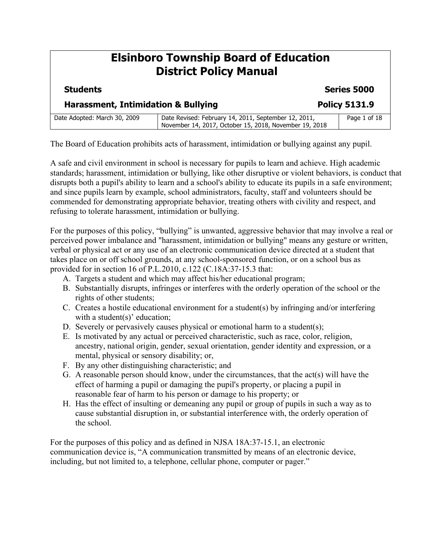### **Elsinboro Township Board of Education District Policy Manual Students Series 5000 Harassment, Intimidation & Bullying The Convention Policy 5131.9** Date Adopted: March 30, 2009 | Date Revised: February 14, 2011, September 12, 2011, November 14, 2017, October 15, 2018, November 19, 2018 Page 1 of 18

The Board of Education prohibits acts of harassment, intimidation or bullying against any pupil.

A safe and civil environment in school is necessary for pupils to learn and achieve. High academic standards; harassment, intimidation or bullying, like other disruptive or violent behaviors, is conduct that disrupts both a pupil's ability to learn and a school's ability to educate its pupils in a safe environment; and since pupils learn by example, school administrators, faculty, staff and volunteers should be commended for demonstrating appropriate behavior, treating others with civility and respect, and refusing to tolerate harassment, intimidation or bullying.

For the purposes of this policy, "bullying" is unwanted, aggressive behavior that may involve a real or perceived power imbalance and "harassment, intimidation or bullying" means any gesture or written, verbal or physical act or any use of an electronic communication device directed at a student that takes place on or off school grounds, at any school-sponsored function, or on a school bus as provided for in section 16 of P.L.2010, c.122 (C.18A:37-15.3 that:

- A. Targets a student and which may affect his/her educational program;
- B. Substantially disrupts, infringes or interferes with the orderly operation of the school or the rights of other students;
- C. Creates a hostile educational environment for a student(s) by infringing and/or interfering with a student(s)' education;
- D. Severely or pervasively causes physical or emotional harm to a student(s);
- E. Is motivated by any actual or perceived characteristic, such as race, color, religion, ancestry, national origin, gender, sexual orientation, gender identity and expression, or a mental, physical or sensory disability; or,
- F. By any other distinguishing characteristic; and
- G. A reasonable person should know, under the circumstances, that the act(s) will have the effect of harming a pupil or damaging the pupil's property, or placing a pupil in reasonable fear of harm to his person or damage to his property; or
- H. Has the effect of insulting or demeaning any pupil or group of pupils in such a way as to cause substantial disruption in, or substantial interference with, the orderly operation of the school.

For the purposes of this policy and as defined in NJSA 18A:37-15.1, an electronic communication device is, "A communication transmitted by means of an electronic device, including, but not limited to, a telephone, cellular phone, computer or pager."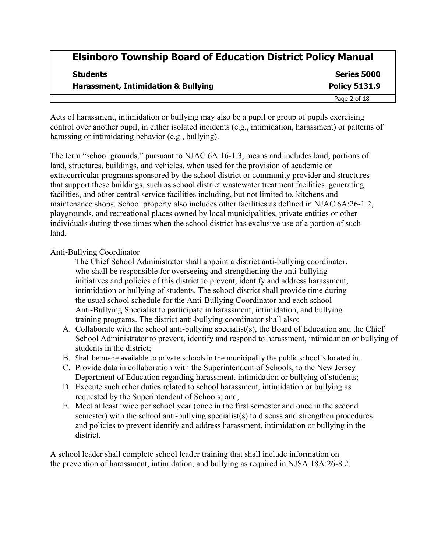| <b>Students</b><br><b>Harassment, Intimidation &amp; Bullying</b> | <b>Series 5000</b><br><b>Policy 5131.9</b> |
|-------------------------------------------------------------------|--------------------------------------------|
|                                                                   |                                            |

Acts of harassment, intimidation or bullying may also be a pupil or group of pupils exercising control over another pupil, in either isolated incidents (e.g., intimidation, harassment) or patterns of harassing or intimidating behavior (e.g., bullying).

The term "school grounds," pursuant to NJAC 6A:16-1.3, means and includes land, portions of land, structures, buildings, and vehicles, when used for the provision of academic or extracurricular programs sponsored by the school district or community provider and structures that support these buildings, such as school district wastewater treatment facilities, generating facilities, and other central service facilities including, but not limited to, kitchens and maintenance shops. School property also includes other facilities as defined in NJAC 6A:26-1.2, playgrounds, and recreational places owned by local municipalities, private entities or other individuals during those times when the school district has exclusive use of a portion of such land.

#### Anti-Bullying Coordinator

The Chief School Administrator shall appoint a district anti-bullying coordinator, who shall be responsible for overseeing and strengthening the anti-bullying initiatives and policies of this district to prevent, identify and address harassment, intimidation or bullying of students. The school district shall provide time during the usual school schedule for the Anti-Bullying Coordinator and each school Anti-Bullying Specialist to participate in harassment, intimidation, and bullying training programs. The district anti-bullying coordinator shall also:

- A. Collaborate with the school anti-bullying specialist(s), the Board of Education and the Chief School Administrator to prevent, identify and respond to harassment, intimidation or bullying of students in the district;
- B. Shall be made available to private schools in the municipality the public school is located in.
- C. Provide data in collaboration with the Superintendent of Schools, to the New Jersey Department of Education regarding harassment, intimidation or bullying of students;
- D. Execute such other duties related to school harassment, intimidation or bullying as requested by the Superintendent of Schools; and,
- E. Meet at least twice per school year (once in the first semester and once in the second semester) with the school anti-bullying specialist(s) to discuss and strengthen procedures and policies to prevent identify and address harassment, intimidation or bullying in the district.

A school leader shall complete school leader training that shall include information on the prevention of harassment, intimidation, and bullying as required in NJSA 18A:26-8.2.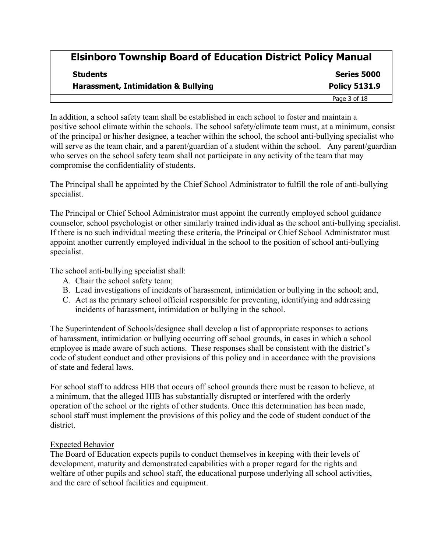| <b>Students</b><br><b>Harassment, Intimidation &amp; Bullying</b> | Series 5000<br><b>Policy 5131.9</b> |
|-------------------------------------------------------------------|-------------------------------------|
|                                                                   |                                     |

In addition, a school safety team shall be established in each school to foster and maintain a positive school climate within the schools. The school safety/climate team must, at a minimum, consist of the principal or his/her designee, a teacher within the school, the school anti-bullying specialist who will serve as the team chair, and a parent/guardian of a student within the school.Any parent/guardian who serves on the school safety team shall not participate in any activity of the team that may compromise the confidentiality of students.

The Principal shall be appointed by the Chief School Administrator to fulfill the role of anti-bullying specialist.

The Principal or Chief School Administrator must appoint the currently employed school guidance counselor, school psychologist or other similarly trained individual as the school anti-bullying specialist. If there is no such individual meeting these criteria, the Principal or Chief School Administrator must appoint another currently employed individual in the school to the position of school anti-bullying specialist.

The school anti-bullying specialist shall:

- A. Chair the school safety team;
- B. Lead investigations of incidents of harassment, intimidation or bullying in the school; and,
- C. Act as the primary school official responsible for preventing, identifying and addressing incidents of harassment, intimidation or bullying in the school.

The Superintendent of Schools/designee shall develop a list of appropriate responses to actions of harassment, intimidation or bullying occurring off school grounds, in cases in which a school employee is made aware of such actions. These responses shall be consistent with the district's code of student conduct and other provisions of this policy and in accordance with the provisions of state and federal laws.

For school staff to address HIB that occurs off school grounds there must be reason to believe, at a minimum, that the alleged HIB has substantially disrupted or interfered with the orderly operation of the school or the rights of other students. Once this determination has been made, school staff must implement the provisions of this policy and the code of student conduct of the district.

### Expected Behavior

The Board of Education expects pupils to conduct themselves in keeping with their levels of development, maturity and demonstrated capabilities with a proper regard for the rights and welfare of other pupils and school staff, the educational purpose underlying all school activities, and the care of school facilities and equipment.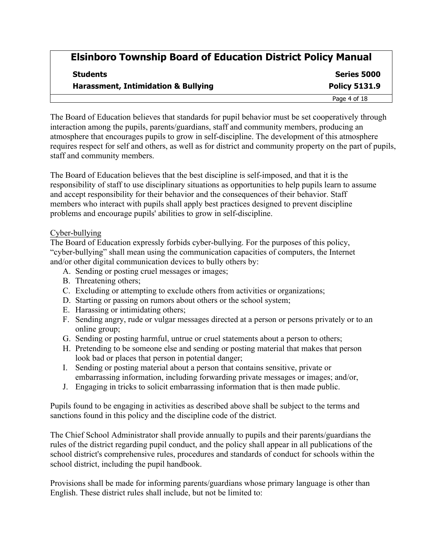| <b>Students</b><br><b>Harassment, Intimidation &amp; Bullying</b> | Series 5000<br><b>Policy 5131.9</b> |
|-------------------------------------------------------------------|-------------------------------------|
|                                                                   |                                     |

The Board of Education believes that standards for pupil behavior must be set cooperatively through interaction among the pupils, parents/guardians, staff and community members, producing an atmosphere that encourages pupils to grow in self-discipline. The development of this atmosphere requires respect for self and others, as well as for district and community property on the part of pupils, staff and community members.

The Board of Education believes that the best discipline is self-imposed, and that it is the responsibility of staff to use disciplinary situations as opportunities to help pupils learn to assume and accept responsibility for their behavior and the consequences of their behavior. Staff members who interact with pupils shall apply best practices designed to prevent discipline problems and encourage pupils' abilities to grow in self-discipline.

#### Cyber-bullying

The Board of Education expressly forbids cyber-bullying. For the purposes of this policy, "cyber-bullying" shall mean using the communication capacities of computers, the Internet and/or other digital communication devices to bully others by:

- A. Sending or posting cruel messages or images;
- B. Threatening others;
- C. Excluding or attempting to exclude others from activities or organizations;
- D. Starting or passing on rumors about others or the school system;
- E. Harassing or intimidating others;
- F. Sending angry, rude or vulgar messages directed at a person or persons privately or to an online group;
- G. Sending or posting harmful, untrue or cruel statements about a person to others;
- H. Pretending to be someone else and sending or posting material that makes that person look bad or places that person in potential danger;
- I. Sending or posting material about a person that contains sensitive, private or embarrassing information, including forwarding private messages or images; and/or,
- J. Engaging in tricks to solicit embarrassing information that is then made public.

Pupils found to be engaging in activities as described above shall be subject to the terms and sanctions found in this policy and the discipline code of the district.

The Chief School Administrator shall provide annually to pupils and their parents/guardians the rules of the district regarding pupil conduct, and the policy shall appear in all publications of the school district's comprehensive rules, procedures and standards of conduct for schools within the school district, including the pupil handbook.

Provisions shall be made for informing parents/guardians whose primary language is other than English. These district rules shall include, but not be limited to: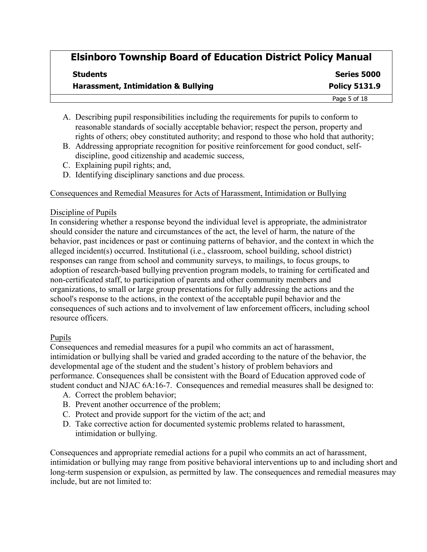| <b>Students</b><br><b>Harassment, Intimidation &amp; Bullying</b> | Series 5000<br><b>Policy 5131.9</b> |
|-------------------------------------------------------------------|-------------------------------------|
|                                                                   |                                     |

- A. Describing pupil responsibilities including the requirements for pupils to conform to reasonable standards of socially acceptable behavior; respect the person, property and rights of others; obey constituted authority; and respond to those who hold that authority;
- B. Addressing appropriate recognition for positive reinforcement for good conduct, selfdiscipline, good citizenship and academic success,
- C. Explaining pupil rights; and,
- D. Identifying disciplinary sanctions and due process.

### Consequences and Remedial Measures for Acts of Harassment, Intimidation or Bullying

### Discipline of Pupils

In considering whether a response beyond the individual level is appropriate, the administrator should consider the nature and circumstances of the act, the level of harm, the nature of the behavior, past incidences or past or continuing patterns of behavior, and the context in which the alleged incident(s) occurred. Institutional (i.e., classroom, school building, school district) responses can range from school and community surveys, to mailings, to focus groups, to adoption of research-based bullying prevention program models, to training for certificated and non-certificated staff, to participation of parents and other community members and organizations, to small or large group presentations for fully addressing the actions and the school's response to the actions, in the context of the acceptable pupil behavior and the consequences of such actions and to involvement of law enforcement officers, including school resource officers.

### Pupils

Consequences and remedial measures for a pupil who commits an act of harassment, intimidation or bullying shall be varied and graded according to the nature of the behavior, the developmental age of the student and the student's history of problem behaviors and performance. Consequences shall be consistent with the Board of Education approved code of student conduct and NJAC 6A:16-7. Consequences and remedial measures shall be designed to:

- A. Correct the problem behavior;
- B. Prevent another occurrence of the problem;
- C. Protect and provide support for the victim of the act; and
- D. Take corrective action for documented systemic problems related to harassment, intimidation or bullying.

Consequences and appropriate remedial actions for a pupil who commits an act of harassment, intimidation or bullying may range from positive behavioral interventions up to and including short and long-term suspension or expulsion, as permitted by law. The consequences and remedial measures may include, but are not limited to: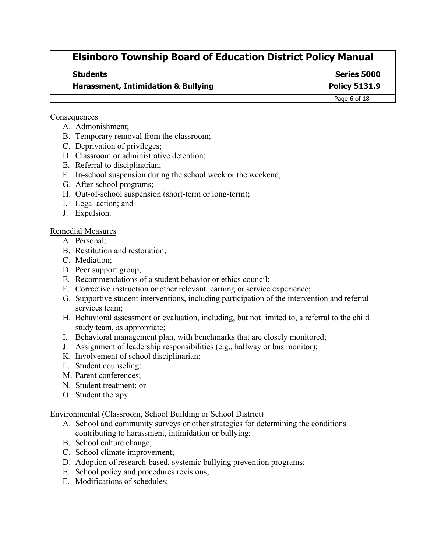**Students Series 5000**

**Harassment, Intimidation & Bullying The Convention Convention Policy 5131.9** 

Page 6 of 18

#### **Consequences**

- A. Admonishment;
- B. Temporary removal from the classroom;
- C. Deprivation of privileges;
- D. Classroom or administrative detention;
- E. Referral to disciplinarian;
- F. In-school suspension during the school week or the weekend;
- G. After-school programs;
- H. Out-of-school suspension (short-term or long-term);
- I. Legal action; and
- J. Expulsion.
- Remedial Measures
	- A. Personal;
	- B. Restitution and restoration;
	- C. Mediation;
	- D. Peer support group;
	- E. Recommendations of a student behavior or ethics council;
	- F. Corrective instruction or other relevant learning or service experience;
	- G. Supportive student interventions, including participation of the intervention and referral services team;
	- H. Behavioral assessment or evaluation, including, but not limited to, a referral to the child study team, as appropriate;
	- I. Behavioral management plan, with benchmarks that are closely monitored;
	- J. Assignment of leadership responsibilities (e.g., hallway or bus monitor);
	- K. Involvement of school disciplinarian;
	- L. Student counseling;
	- M. Parent conferences;
	- N. Student treatment; or
	- O. Student therapy.

### Environmental (Classroom, School Building or School District)

- A. School and community surveys or other strategies for determining the conditions contributing to harassment, intimidation or bullying;
- B. School culture change;
- C. School climate improvement;
- D. Adoption of research-based, systemic bullying prevention programs;
- E. School policy and procedures revisions;
- F. Modifications of schedules;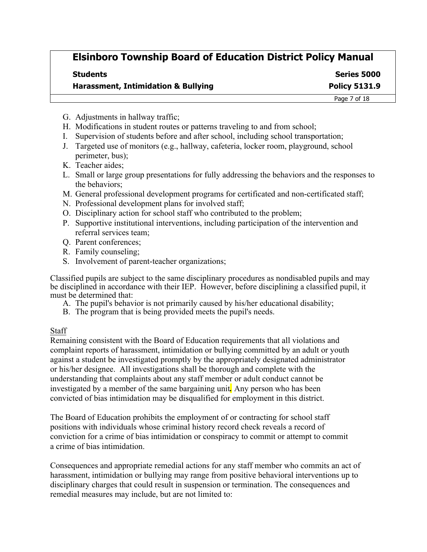| <b>Students</b>                                | Series 5000          |
|------------------------------------------------|----------------------|
| <b>Harassment, Intimidation &amp; Bullying</b> | <b>Policy 5131.9</b> |
|                                                | Page 7 of 18         |

- G. Adjustments in hallway traffic;
- H. Modifications in student routes or patterns traveling to and from school;
- I. Supervision of students before and after school, including school transportation;
- J. Targeted use of monitors (e.g., hallway, cafeteria, locker room, playground, school perimeter, bus);
- K. Teacher aides;
- L. Small or large group presentations for fully addressing the behaviors and the responses to the behaviors;
- M. General professional development programs for certificated and non-certificated staff;
- N. Professional development plans for involved staff;
- O. Disciplinary action for school staff who contributed to the problem;
- P. Supportive institutional interventions, including participation of the intervention and referral services team;
- Q. Parent conferences;
- R. Family counseling;
- S. Involvement of parent-teacher organizations;

Classified pupils are subject to the same disciplinary procedures as nondisabled pupils and may be disciplined in accordance with their IEP. However, before disciplining a classified pupil, it must be determined that:

- A. The pupil's behavior is not primarily caused by his/her educational disability;
- B. The program that is being provided meets the pupil's needs.

#### **Staff**

Remaining consistent with the Board of Education requirements that all violations and complaint reports of harassment, intimidation or bullying committed by an adult or youth against a student be investigated promptly by the appropriately designated administrator or his/her designee. All investigations shall be thorough and complete with the understanding that complaints about any staff member or adult conduct cannot be investigated by a member of the same bargaining unit*.* Any person who has been convicted of bias intimidation may be disqualified for employment in this district.

The Board of Education prohibits the employment of or contracting for school staff positions with individuals whose criminal history record check reveals a record of conviction for a crime of bias intimidation or conspiracy to commit or attempt to commit a crime of bias intimidation.

Consequences and appropriate remedial actions for any staff member who commits an act of harassment, intimidation or bullying may range from positive behavioral interventions up to disciplinary charges that could result in suspension or termination. The consequences and remedial measures may include, but are not limited to: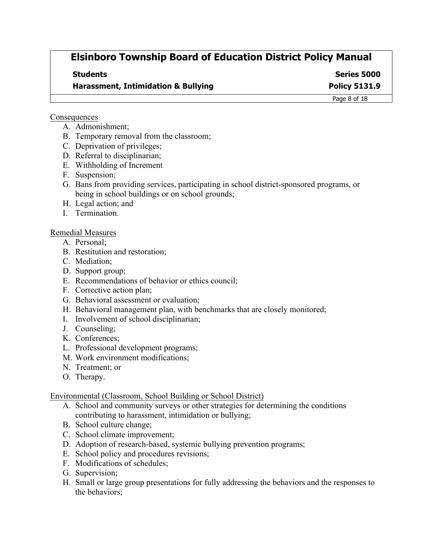**Students Series 5000**

**Harassment, Intimidation & Bullying The Convention Convention Policy 5131.9** 

Page 8 of 18

#### **Consequences**

- A. Admonishment;
- B. Temporary removal from the classroom;
- C. Deprivation of privileges;
- D. Referral to disciplinarian;
- E. Withholding of Increment
- F. Suspension;
- G. Bans from providing services, participating in school district-sponsored programs, or being in school buildings or on school grounds;
- H. Legal action; and
- I. Termination.

### Remedial Measures

- A. Personal;
- B. Restitution and restoration;
- C. Mediation;
- D. Support group;
- E. Recommendations of behavior or ethics council;
- F. Corrective action plan;
- G. Behavioral assessment or evaluation;
- H. Behavioral management plan, with benchmarks that are closely monitored;
- I. Involvement of school disciplinarian;
- J. Counseling;
- K. Conferences;
- L. Professional development programs;
- M. Work environment modifications;
- N. Treatment; or
- O. Therapy.

### Environmental (Classroom, School Building or School District)

- A. School and community surveys or other strategies for determining the conditions contributing to harassment, intimidation or bullying;
- B. School culture change;
- C. School climate improvement;
- D. Adoption of research-based, systemic bullying prevention programs;
- E. School policy and procedures revisions;
- F. Modifications of schedules;
- G. Supervision;
- H. Small or large group presentations for fully addressing the behaviors and the responses to the behaviors;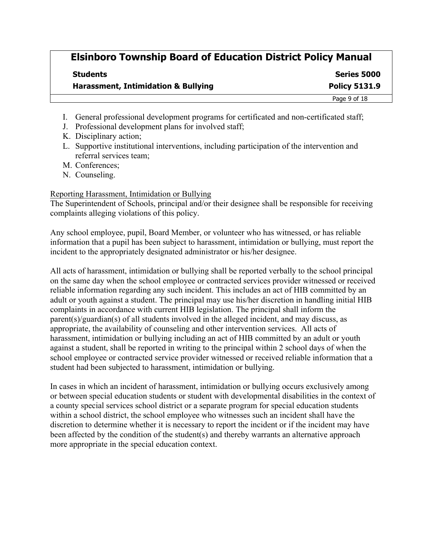| <b>Students</b><br><b>Harassment, Intimidation &amp; Bullying</b> | Series 5000<br><b>Policy 5131.9</b> |
|-------------------------------------------------------------------|-------------------------------------|
|                                                                   |                                     |

- I. General professional development programs for certificated and non-certificated staff;
- J. Professional development plans for involved staff;
- K. Disciplinary action;
- L. Supportive institutional interventions, including participation of the intervention and referral services team;
- M. Conferences;
- N. Counseling.

#### Reporting Harassment, Intimidation or Bullying

The Superintendent of Schools, principal and/or their designee shall be responsible for receiving complaints alleging violations of this policy.

Any school employee, pupil, Board Member, or volunteer who has witnessed, or has reliable information that a pupil has been subject to harassment, intimidation or bullying, must report the incident to the appropriately designated administrator or his/her designee.

All acts of harassment, intimidation or bullying shall be reported verbally to the school principal on the same day when the school employee or contracted services provider witnessed or received reliable information regarding any such incident. This includes an act of HIB committed by an adult or youth against a student. The principal may use his/her discretion in handling initial HIB complaints in accordance with current HIB legislation. The principal shall inform the parent(s)/guardian(s) of all students involved in the alleged incident, and may discuss, as appropriate, the availability of counseling and other intervention services. All acts of harassment, intimidation or bullying including an act of HIB committed by an adult or youth against a student, shall be reported in writing to the principal within 2 school days of when the school employee or contracted service provider witnessed or received reliable information that a student had been subjected to harassment, intimidation or bullying.

In cases in which an incident of harassment, intimidation or bullying occurs exclusively among or between special education students or student with developmental disabilities in the context of a county special services school district or a separate program for special education students within a school district, the school employee who witnesses such an incident shall have the discretion to determine whether it is necessary to report the incident or if the incident may have been affected by the condition of the student(s) and thereby warrants an alternative approach more appropriate in the special education context.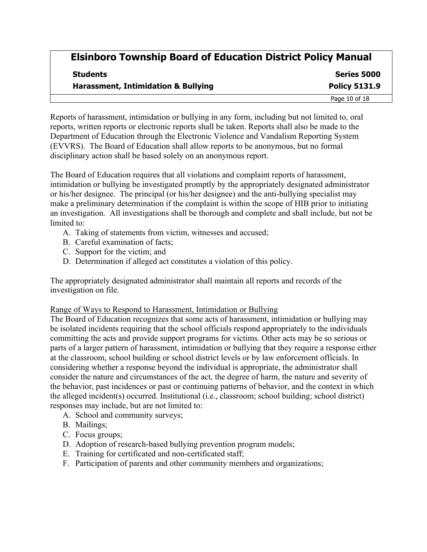| <b>Students</b><br><b>Harassment, Intimidation &amp; Bullying</b> | Series 5000<br><b>Policy 5131.9</b> |
|-------------------------------------------------------------------|-------------------------------------|
|                                                                   |                                     |

Reports of harassment, intimidation or bullying in any form, including but not limited to, oral reports, written reports or electronic reports shall be taken. Reports shall also be made to the Department of Education through the Electronic Violence and Vandalism Reporting System (EVVRS). The Board of Education shall allow reports to be anonymous, but no formal disciplinary action shall be based solely on an anonymous report.

The Board of Education requires that all violations and complaint reports of harassment, intimidation or bullying be investigated promptly by the appropriately designated administrator or his/her designee. The principal (or his/her designee) and the anti-bullying specialist may make a preliminary determination if the complaint is within the scope of HIB prior to initiating an investigation. All investigations shall be thorough and complete and shall include, but not be limited to:

- A. Taking of statements from victim, witnesses and accused;
- B. Careful examination of facts;
- C. Support for the victim; and
- D. Determination if alleged act constitutes a violation of this policy.

The appropriately designated administrator shall maintain all reports and records of the investigation on file.

#### Range of Ways to Respond to Harassment, Intimidation or Bullying

The Board of Education recognizes that some acts of harassment, intimidation or bullying may be isolated incidents requiring that the school officials respond appropriately to the individuals committing the acts and provide support programs for victims. Other acts may be so serious or parts of a larger pattern of harassment, intimidation or bullying that they require a response either at the classroom, school building or school district levels or by law enforcement officials. In considering whether a response beyond the individual is appropriate, the administrator shall consider the nature and circumstances of the act, the degree of harm, the nature and severity of the behavior, past incidences or past or continuing patterns of behavior, and the context in which the alleged incident(s) occurred. Institutional (i.e., classroom; school building; school district) responses may include, but are not limited to:

- A. School and community surveys;
- B. Mailings;
- C. Focus groups;
- D. Adoption of research-based bullying prevention program models;
- E. Training for certificated and non-certificated staff;
- F. Participation of parents and other community members and organizations;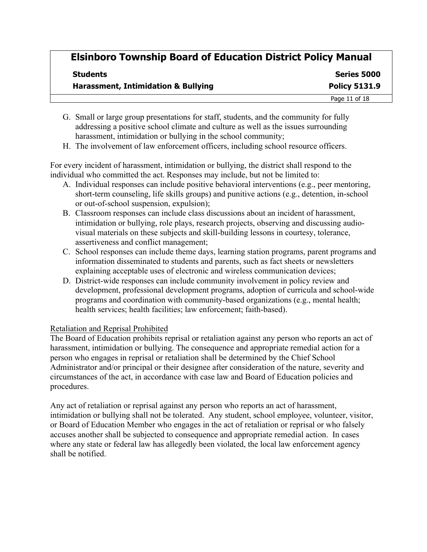| <b>Students</b><br><b>Harassment, Intimidation &amp; Bullying</b> | Series 5000<br><b>Policy 5131.9</b> |
|-------------------------------------------------------------------|-------------------------------------|
|                                                                   |                                     |

- G. Small or large group presentations for staff, students, and the community for fully addressing a positive school climate and culture as well as the issues surrounding harassment, intimidation or bullying in the school community;
- H. The involvement of law enforcement officers, including school resource officers.

For every incident of harassment, intimidation or bullying, the district shall respond to the individual who committed the act. Responses may include, but not be limited to:

- A. Individual responses can include positive behavioral interventions (e.g., peer mentoring, short-term counseling, life skills groups) and punitive actions (e.g., detention, in-school or out-of-school suspension, expulsion);
- B. Classroom responses can include class discussions about an incident of harassment, intimidation or bullying, role plays, research projects, observing and discussing audiovisual materials on these subjects and skill-building lessons in courtesy, tolerance, assertiveness and conflict management;
- C. School responses can include theme days, learning station programs, parent programs and information disseminated to students and parents, such as fact sheets or newsletters explaining acceptable uses of electronic and wireless communication devices;
- D. District-wide responses can include community involvement in policy review and development, professional development programs, adoption of curricula and school-wide programs and coordination with community-based organizations (e.g., mental health; health services; health facilities; law enforcement; faith-based).

### Retaliation and Reprisal Prohibited

The Board of Education prohibits reprisal or retaliation against any person who reports an act of harassment, intimidation or bullying. The consequence and appropriate remedial action for a person who engages in reprisal or retaliation shall be determined by the Chief School Administrator and/or principal or their designee after consideration of the nature, severity and circumstances of the act, in accordance with case law and Board of Education policies and procedures.

Any act of retaliation or reprisal against any person who reports an act of harassment, intimidation or bullying shall not be tolerated. Any student, school employee, volunteer, visitor, or Board of Education Member who engages in the act of retaliation or reprisal or who falsely accuses another shall be subjected to consequence and appropriate remedial action. In cases where any state or federal law has allegedly been violated, the local law enforcement agency shall be notified.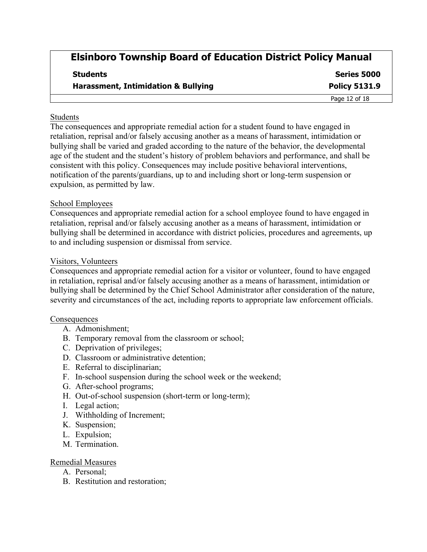| Students<br><b>Harassment, Intimidation &amp; Bullying</b> | Series 5000<br><b>Policy 5131.9</b> |
|------------------------------------------------------------|-------------------------------------|
|                                                            |                                     |

#### Students

The consequences and appropriate remedial action for a student found to have engaged in retaliation, reprisal and/or falsely accusing another as a means of harassment, intimidation or bullying shall be varied and graded according to the nature of the behavior, the developmental age of the student and the student's history of problem behaviors and performance, and shall be consistent with this policy. Consequences may include positive behavioral interventions, notification of the parents/guardians, up to and including short or long-term suspension or expulsion, as permitted by law.

#### School Employees

Consequences and appropriate remedial action for a school employee found to have engaged in retaliation, reprisal and/or falsely accusing another as a means of harassment, intimidation or bullying shall be determined in accordance with district policies, procedures and agreements, up to and including suspension or dismissal from service.

#### Visitors, Volunteers

Consequences and appropriate remedial action for a visitor or volunteer, found to have engaged in retaliation, reprisal and/or falsely accusing another as a means of harassment, intimidation or bullying shall be determined by the Chief School Administrator after consideration of the nature, severity and circumstances of the act, including reports to appropriate law enforcement officials.

#### **Consequences**

- A. Admonishment;
- B. Temporary removal from the classroom or school;
- C. Deprivation of privileges;
- D. Classroom or administrative detention;
- E. Referral to disciplinarian;
- F. In-school suspension during the school week or the weekend;
- G. After-school programs;
- H. Out-of-school suspension (short-term or long-term);
- I. Legal action;
- J. Withholding of Increment;
- K. Suspension;
- L. Expulsion;
- M. Termination.

#### Remedial Measures

- A. Personal;
- B. Restitution and restoration;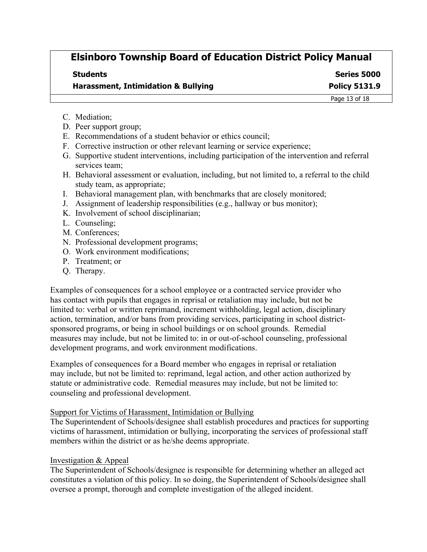| <b>Students</b>                                | Series 5000          |
|------------------------------------------------|----------------------|
| <b>Harassment, Intimidation &amp; Bullying</b> | <b>Policy 5131.9</b> |

Page 13 of 18

- C. Mediation;
- D. Peer support group;
- E. Recommendations of a student behavior or ethics council;
- F. Corrective instruction or other relevant learning or service experience;
- G. Supportive student interventions, including participation of the intervention and referral services team;
- H. Behavioral assessment or evaluation, including, but not limited to, a referral to the child study team, as appropriate;
- I. Behavioral management plan, with benchmarks that are closely monitored;
- J. Assignment of leadership responsibilities (e.g., hallway or bus monitor);
- K. Involvement of school disciplinarian;
- L. Counseling;
- M. Conferences;
- N. Professional development programs;
- O. Work environment modifications;
- P. Treatment; or
- Q. Therapy.

Examples of consequences for a school employee or a contracted service provider who has contact with pupils that engages in reprisal or retaliation may include, but not be limited to: verbal or written reprimand, increment withholding, legal action, disciplinary action, termination, and/or bans from providing services, participating in school districtsponsored programs, or being in school buildings or on school grounds. Remedial measures may include, but not be limited to: in or out-of-school counseling, professional development programs, and work environment modifications.

Examples of consequences for a Board member who engages in reprisal or retaliation may include, but not be limited to: reprimand, legal action, and other action authorized by statute or administrative code. Remedial measures may include, but not be limited to: counseling and professional development.

#### Support for Victims of Harassment, Intimidation or Bullying

The Superintendent of Schools/designee shall establish procedures and practices for supporting victims of harassment, intimidation or bullying, incorporating the services of professional staff members within the district or as he/she deems appropriate.

#### Investigation & Appeal

The Superintendent of Schools/designee is responsible for determining whether an alleged act constitutes a violation of this policy. In so doing, the Superintendent of Schools/designee shall oversee a prompt, thorough and complete investigation of the alleged incident.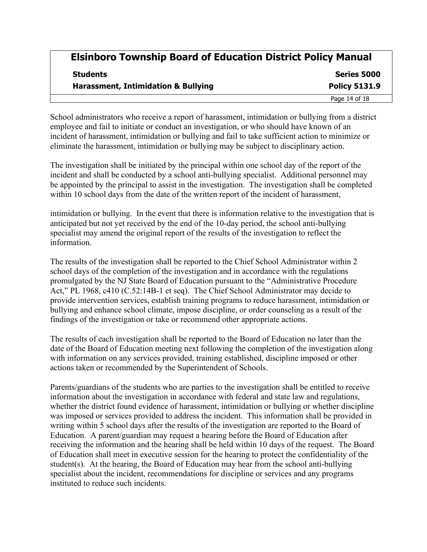| <b>Students</b><br><b>Harassment, Intimidation &amp; Bullying</b> | Series 5000<br><b>Policy 5131.9</b> |
|-------------------------------------------------------------------|-------------------------------------|
|                                                                   |                                     |

School administrators who receive a report of harassment, intimidation or bullying from a district employee and fail to initiate or conduct an investigation, or who should have known of an incident of harassment, intimidation or bullying and fail to take sufficient action to minimize or eliminate the harassment, intimidation or bullying may be subject to disciplinary action.

The investigation shall be initiated by the principal within one school day of the report of the incident and shall be conducted by a school anti-bullying specialist. Additional personnel may be appointed by the principal to assist in the investigation. The investigation shall be completed within 10 school days from the date of the written report of the incident of harassment,

intimidation or bullying. In the event that there is information relative to the investigation that is anticipated but not yet received by the end of the 10-day period, the school anti-bullying specialist may amend the original report of the results of the investigation to reflect the information.

The results of the investigation shall be reported to the Chief School Administrator within 2 school days of the completion of the investigation and in accordance with the regulations promulgated by the NJ State Board of Education pursuant to the "Administrative Procedure Act," PL 1968, c410 (C.52:14B-1 et seq). The Chief School Administrator may decide to provide intervention services, establish training programs to reduce harassment, intimidation or bullying and enhance school climate, impose discipline, or order counseling as a result of the findings of the investigation or take or recommend other appropriate actions.

The results of each investigation shall be reported to the Board of Education no later than the date of the Board of Education meeting next following the completion of the investigation along with information on any services provided, training established, discipline imposed or other actions taken or recommended by the Superintendent of Schools.

Parents/guardians of the students who are parties to the investigation shall be entitled to receive information about the investigation in accordance with federal and state law and regulations, whether the district found evidence of harassment, intimidation or bullying or whether discipline was imposed or services provided to address the incident. This information shall be provided in writing within 5 school days after the results of the investigation are reported to the Board of Education. A parent/guardian may request a hearing before the Board of Education after receiving the information and the hearing shall be held within 10 days of the request. The Board of Education shall meet in executive session for the hearing to protect the confidentiality of the student(s). At the hearing, the Board of Education may hear from the school anti-bullying specialist about the incident, recommendations for discipline or services and any programs instituted to reduce such incidents.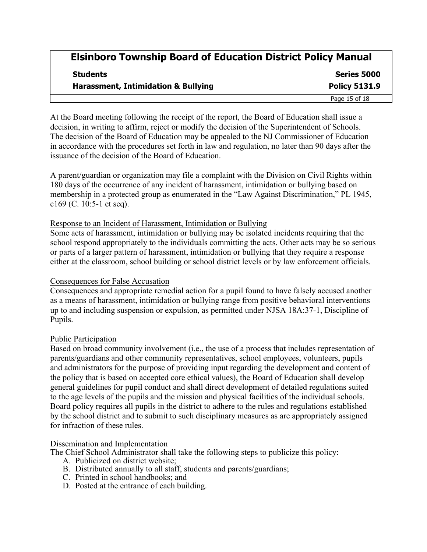| <b>Students</b><br><b>Harassment, Intimidation &amp; Bullying</b> | Series 5000<br><b>Policy 5131.9</b> |
|-------------------------------------------------------------------|-------------------------------------|
|                                                                   |                                     |

At the Board meeting following the receipt of the report, the Board of Education shall issue a decision, in writing to affirm, reject or modify the decision of the Superintendent of Schools. The decision of the Board of Education may be appealed to the NJ Commissioner of Education in accordance with the procedures set forth in law and regulation, no later than 90 days after the issuance of the decision of the Board of Education.

A parent/guardian or organization may file a complaint with the Division on Civil Rights within 180 days of the occurrence of any incident of harassment, intimidation or bullying based on membership in a protected group as enumerated in the "Law Against Discrimination," PL 1945, c169 (C. 10:5-1 et seq).

#### Response to an Incident of Harassment, Intimidation or Bullying

Some acts of harassment, intimidation or bullying may be isolated incidents requiring that the school respond appropriately to the individuals committing the acts. Other acts may be so serious or parts of a larger pattern of harassment, intimidation or bullying that they require a response either at the classroom, school building or school district levels or by law enforcement officials.

#### Consequences for False Accusation

Consequences and appropriate remedial action for a pupil found to have falsely accused another as a means of harassment, intimidation or bullying range from positive behavioral interventions up to and including suspension or expulsion, as permitted under NJSA 18A:37-1, Discipline of Pupils.

#### Public Participation

Based on broad community involvement (i.e., the use of a process that includes representation of parents/guardians and other community representatives, school employees, volunteers, pupils and administrators for the purpose of providing input regarding the development and content of the policy that is based on accepted core ethical values), the Board of Education shall develop general guidelines for pupil conduct and shall direct development of detailed regulations suited to the age levels of the pupils and the mission and physical facilities of the individual schools. Board policy requires all pupils in the district to adhere to the rules and regulations established by the school district and to submit to such disciplinary measures as are appropriately assigned for infraction of these rules.

#### Dissemination and Implementation

The Chief School Administrator shall take the following steps to publicize this policy:

- A. Publicized on district website;
- B. Distributed annually to all staff, students and parents/guardians;
- C. Printed in school handbooks; and
- D. Posted at the entrance of each building.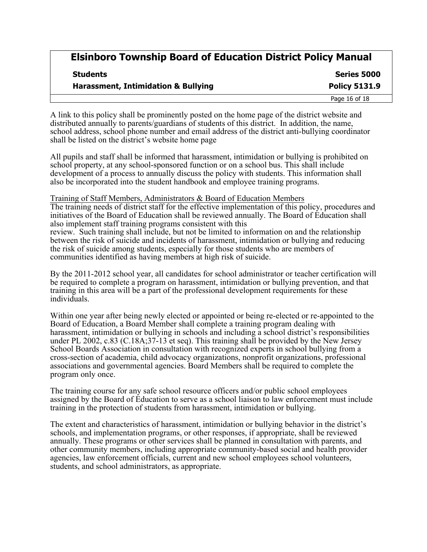**Series 5000 Harassment, Intimidation & Bullying Policy 5131.9** Page 16 of 18

| <b>Students</b>                                |
|------------------------------------------------|
| <b>Harassment, Intimidation &amp; Bullying</b> |
|                                                |

A link to this policy shall be prominently posted on the home page of the district website and distributed annually to parents/guardians of students of this district. In addition, the name, school address, school phone number and email address of the district anti-bullying coordinator shall be listed on the district's website home page

All pupils and staff shall be informed that harassment, intimidation or bullying is prohibited on school property, at any school-sponsored function or on a school bus. This shall include development of a process to annually discuss the policy with students. This information shall also be incorporated into the student handbook and employee training programs.

#### Training of Staff Members, Administrators & Board of Education Members

The training needs of district staff for the effective implementation of this policy, procedures and initiatives of the Board of Education shall be reviewed annually. The Board of Education shall also implement staff training programs consistent with this review. Such training shall include, but not be limited to information on and the relationship between the risk of suicide and incidents of harassment, intimidation or bullying and reducing the risk of suicide among students, especially for those students who are members of communities identified as having members at high risk of suicide.

By the 2011-2012 school year, all candidates for school administrator or teacher certification will be required to complete a program on harassment, intimidation or bullying prevention, and that training in this area will be a part of the professional development requirements for these individuals.

Within one year after being newly elected or appointed or being re-elected or re-appointed to the Board of Education, a Board Member shall complete a training program dealing with harassment, intimidation or bullying in schools and including a school district's responsibilities under PL 2002, c.83 (C.18A;37-13 et seq). This training shall be provided by the New Jersey School Boards Association in consultation with recognized experts in school bullying from a cross-section of academia, child advocacy organizations, nonprofit organizations, professional associations and governmental agencies. Board Members shall be required to complete the program only once.

The training course for any safe school resource officers and/or public school employees assigned by the Board of Education to serve as a school liaison to law enforcement must include training in the protection of students from harassment, intimidation or bullying.

The extent and characteristics of harassment, intimidation or bullying behavior in the district's schools, and implementation programs, or other responses, if appropriate, shall be reviewed annually. These programs or other services shall be planned in consultation with parents, and other community members, including appropriate community-based social and health provider agencies, law enforcement officials, current and new school employees school volunteers, students, and school administrators, as appropriate.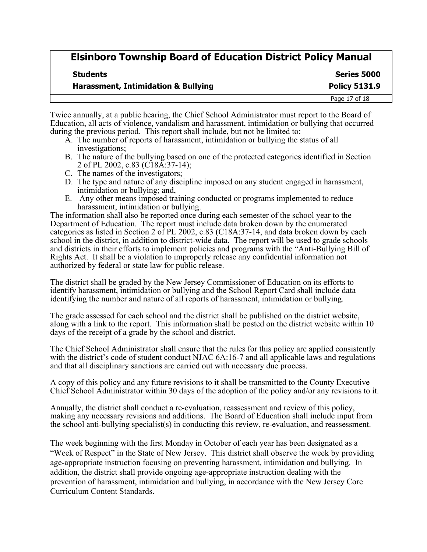| <b>Students</b> |  |
|-----------------|--|
|-----------------|--|

**Series 5000 Harassment, Intimidation & Bullying Policy 5131.9**

|  | <b>Harassment, Intimidation &amp; Bullying</b> |  |  |
|--|------------------------------------------------|--|--|
|--|------------------------------------------------|--|--|

Twice annually, at a public hearing, the Chief School Administrator must report to the Board of Education, all acts of violence, vandalism and harassment, intimidation or bullying that occurred during the previous period. This report shall include, but not be limited to:

- A. The number of reports of harassment, intimidation or bullying the status of all investigations;
- B. The nature of the bullying based on one of the protected categories identified in Section 2 of PL 2002, c.83 (C18A:37-14);
- C. The names of the investigators;
- D. The type and nature of any discipline imposed on any student engaged in harassment, intimidation or bullying; and,
- E. Any other means imposed training conducted or programs implemented to reduce harassment, intimidation or bullying.

The information shall also be reported once during each semester of the school year to the Department of Education. The report must include data broken down by the enumerated categories as listed in Section 2 of PL 2002, c.83 (C18A:37-14, and data broken down by each school in the district, in addition to district-wide data. The report will be used to grade schools and districts in their efforts to implement policies and programs with the "Anti-Bullying Bill of Rights Act. It shall be a violation to improperly release any confidential information not authorized by federal or state law for public release.

The district shall be graded by the New Jersey Commissioner of Education on its efforts to identify harassment, intimidation or bullying and the School Report Card shall include data identifying the number and nature of all reports of harassment, intimidation or bullying.

The grade assessed for each school and the district shall be published on the district website, along with a link to the report. This information shall be posted on the district website within 10 days of the receipt of a grade by the school and district.

The Chief School Administrator shall ensure that the rules for this policy are applied consistently with the district's code of student conduct NJAC 6A:16-7 and all applicable laws and regulations and that all disciplinary sanctions are carried out with necessary due process.

A copy of this policy and any future revisions to it shall be transmitted to the County Executive Chief School Administrator within 30 days of the adoption of the policy and/or any revisions to it.

Annually, the district shall conduct a re-evaluation, reassessment and review of this policy, making any necessary revisions and additions. The Board of Education shall include input from the school anti-bullying specialist(s) in conducting this review, re-evaluation, and reassessment.

The week beginning with the first Monday in October of each year has been designated as a "Week of Respect" in the State of New Jersey. This district shall observe the week by providing age-appropriate instruction focusing on preventing harassment, intimidation and bullying. In addition, the district shall provide ongoing age-appropriate instruction dealing with the prevention of harassment, intimidation and bullying, in accordance with the New Jersey Core Curriculum Content Standards.